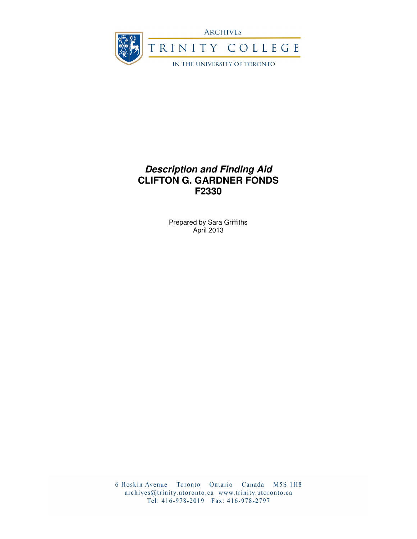

# **Description and Finding Aid CLIFTON G. GARDNER FONDS F2330**

Prepared by Sara Griffiths April 2013

6 Hoskin Avenue Toronto Ontario Canada M5S 1H8 archives@trinity.utoronto.ca www.trinity.utoronto.ca Tel: 416-978-2019 Fax: 416-978-2797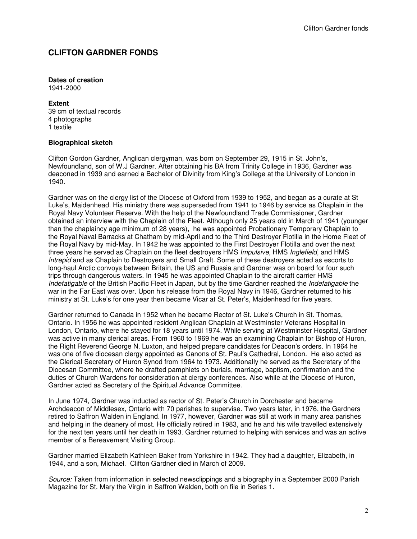# **CLIFTON GARDNER FONDS**

#### **Dates of creation**

1941-2000

#### **Extent**

39 cm of textual records 4 photographs 1 textile

#### **Biographical sketch**

Clifton Gordon Gardner, Anglican clergyman, was born on September 29, 1915 in St. John's, Newfoundland, son of W.J Gardner. After obtaining his BA from Trinity College in 1936, Gardner was deaconed in 1939 and earned a Bachelor of Divinity from King's College at the University of London in 1940.

Gardner was on the clergy list of the Diocese of Oxford from 1939 to 1952, and began as a curate at St Luke's, Maidenhead. His ministry there was superseded from 1941 to 1946 by service as Chaplain in the Royal Navy Volunteer Reserve. With the help of the Newfoundland Trade Commissioner, Gardner obtained an interview with the Chaplain of the Fleet. Although only 25 years old in March of 1941 (younger than the chaplaincy age minimum of 28 years), he was appointed Probationary Temporary Chaplain to the Royal Naval Barracks at Chatham by mid-April and to the Third Destroyer Flotilla in the Home Fleet of the Royal Navy by mid-May. In 1942 he was appointed to the First Destroyer Flotilla and over the next three years he served as Chaplain on the fleet destroyers HMS Impulsive, HMS Inglefield, and HMS Intrepid and as Chaplain to Destroyers and Small Craft. Some of these destroyers acted as escorts to long-haul Arctic convoys between Britain, the US and Russia and Gardner was on board for four such trips through dangerous waters. In 1945 he was appointed Chaplain to the aircraft carrier HMS Indefatigable of the British Pacific Fleet in Japan, but by the time Gardner reached the Indefatigable the war in the Far East was over. Upon his release from the Royal Navy in 1946, Gardner returned to his ministry at St. Luke's for one year then became Vicar at St. Peter's, Maidenhead for five years.

Gardner returned to Canada in 1952 when he became Rector of St. Luke's Church in St. Thomas, Ontario. In 1956 he was appointed resident Anglican Chaplain at Westminster Veterans Hospital in London, Ontario, where he stayed for 18 years until 1974. While serving at Westminster Hospital, Gardner was active in many clerical areas. From 1960 to 1969 he was an examining Chaplain for Bishop of Huron, the Right Reverend George N. Luxton, and helped prepare candidates for Deacon's orders. In 1964 he was one of five diocesan clergy appointed as Canons of St. Paul's Cathedral, London. He also acted as the Clerical Secretary of Huron Synod from 1964 to 1973. Additionally he served as the Secretary of the Diocesan Committee, where he drafted pamphlets on burials, marriage, baptism, confirmation and the duties of Church Wardens for consideration at clergy conferences. Also while at the Diocese of Huron, Gardner acted as Secretary of the Spiritual Advance Committee.

In June 1974, Gardner was inducted as rector of St. Peter's Church in Dorchester and became Archdeacon of Middlesex, Ontario with 70 parishes to supervise. Two years later, in 1976, the Gardners retired to Saffron Walden in England. In 1977, however, Gardner was still at work in many area parishes and helping in the deanery of most. He officially retired in 1983, and he and his wife travelled extensively for the next ten years until her death in 1993. Gardner returned to helping with services and was an active member of a Bereavement Visiting Group.

Gardner married Elizabeth Kathleen Baker from Yorkshire in 1942. They had a daughter, Elizabeth, in 1944, and a son, Michael. Clifton Gardner died in March of 2009.

Source: Taken from information in selected newsclippings and a biography in a September 2000 Parish Magazine for St. Mary the Virgin in Saffron Walden, both on file in Series 1.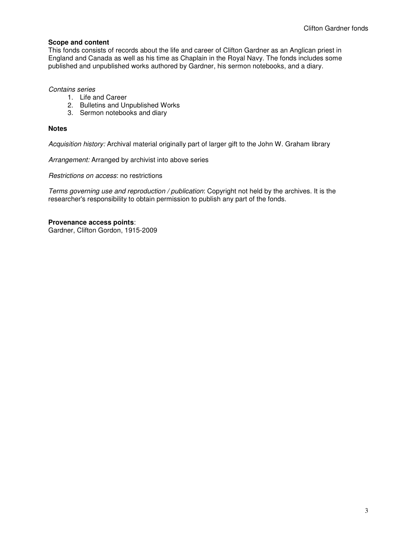#### **Scope and content**

This fonds consists of records about the life and career of Clifton Gardner as an Anglican priest in England and Canada as well as his time as Chaplain in the Royal Navy. The fonds includes some published and unpublished works authored by Gardner, his sermon notebooks, and a diary.

Contains series

- 1. Life and Career
- 2. Bulletins and Unpublished Works
- 3. Sermon notebooks and diary

#### **Notes**

Acquisition history: Archival material originally part of larger gift to the John W. Graham library

Arrangement: Arranged by archivist into above series

Restrictions on access: no restrictions

Terms governing use and reproduction / publication: Copyright not held by the archives. It is the researcher's responsibility to obtain permission to publish any part of the fonds.

#### **Provenance access points**:

Gardner, Clifton Gordon, 1915-2009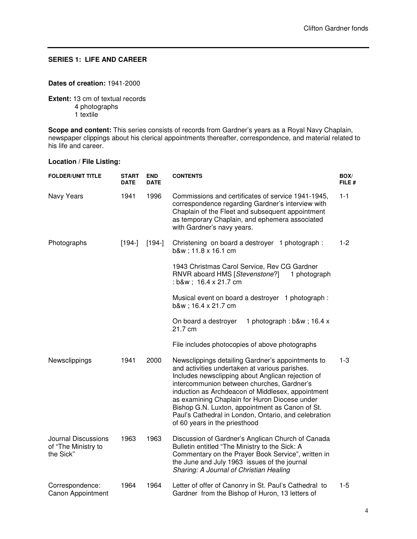# **SERIES 1: LIFE AND CAREER**

#### **Dates of creation:** 1941-2000

**Extent:** 13 cm of textual records 4 photographs 1 textile

**Scope and content:** This series consists of records from Gardner's years as a Royal Navy Chaplain, newspaper clippings about his clerical appointments thereafter, correspondence, and material related to his life and career.

### **Location / File Listing:**

| <b>FOLDER/UNIT TITLE</b>                                | <b>START</b><br><b>DATE</b> | <b>END</b><br><b>DATE</b> | <b>CONTENTS</b>                                                                                                                                                                                                                                                                                                                                                                                                                                          | BOX/<br>FILE # |
|---------------------------------------------------------|-----------------------------|---------------------------|----------------------------------------------------------------------------------------------------------------------------------------------------------------------------------------------------------------------------------------------------------------------------------------------------------------------------------------------------------------------------------------------------------------------------------------------------------|----------------|
| Navy Years                                              | 1941                        | 1996                      | Commissions and certificates of service 1941-1945,<br>correspondence regarding Gardner's interview with<br>Chaplain of the Fleet and subsequent appointment<br>as temporary Chaplain, and ephemera associated<br>with Gardner's navy years.                                                                                                                                                                                                              | $1 - 1$        |
| Photographs                                             | $[194-]$                    | $[194-]$                  | Christening on board a destroyer 1 photograph:<br>b&w 11.8 x 16.1 cm                                                                                                                                                                                                                                                                                                                                                                                     | $1-2$          |
|                                                         |                             |                           | 1943 Christmas Carol Service, Rev CG Gardner<br>RNVR aboard HMS [Stevenstone?]<br>1 photograph<br>: b&w 16.4 x 21.7 cm                                                                                                                                                                                                                                                                                                                                   |                |
|                                                         |                             |                           | Musical event on board a destroyer 1 photograph:<br>b&w 16.4 x 21.7 cm                                                                                                                                                                                                                                                                                                                                                                                   |                |
|                                                         |                             |                           | 1 photograph: b&w 16.4 x<br>On board a destroyer<br>21.7 cm                                                                                                                                                                                                                                                                                                                                                                                              |                |
|                                                         |                             |                           | File includes photocopies of above photographs                                                                                                                                                                                                                                                                                                                                                                                                           |                |
| Newsclippings                                           | 1941                        | 2000                      | Newsclippings detailing Gardner's appointments to<br>and activities undertaken at various parishes.<br>Includes newsclipping about Anglican rejection of<br>intercommunion between churches, Gardner's<br>induction as Archdeacon of Middlesex, appointment<br>as examining Chaplain for Huron Diocese under<br>Bishop G.N. Luxton, appointment as Canon of St.<br>Paul's Cathedral in London, Ontario, and celebration<br>of 60 years in the priesthood | $1 - 3$        |
| Journal Discussions<br>of "The Ministry to<br>the Sick" | 1963                        | 1963                      | Discussion of Gardner's Anglican Church of Canada<br>Bulletin entitled "The Ministry to the Sick: A<br>Commentary on the Prayer Book Service", written in<br>the June and July 1963 issues of the journal<br>Sharing: A Journal of Christian Healing                                                                                                                                                                                                     |                |
| Correspondence:<br>Canon Appointment                    | 1964                        | 1964                      | Letter of offer of Canonry in St. Paul's Cathedral to<br>Gardner from the Bishop of Huron, 13 letters of                                                                                                                                                                                                                                                                                                                                                 | $1 - 5$        |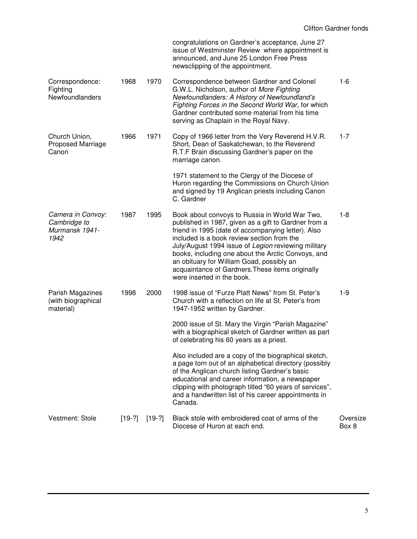|                                                             |          |          | congratulations on Gardner's acceptance, June 27<br>issue of Westminster Review where appointment is<br>announced, and June 25 London Free Press<br>newsclipping of the appointment.                                                                                                                                                                                                                                                                   |                   |
|-------------------------------------------------------------|----------|----------|--------------------------------------------------------------------------------------------------------------------------------------------------------------------------------------------------------------------------------------------------------------------------------------------------------------------------------------------------------------------------------------------------------------------------------------------------------|-------------------|
| Correspondence:<br>Fighting<br>Newfoundlanders              | 1968     | 1970     | Correspondence between Gardner and Colonel<br>G.W.L. Nicholson, author of More Fighting<br>Newfoundlanders: A History of Newfoundland's<br>Fighting Forces in the Second World War, for which<br>Gardner contributed some material from his time<br>serving as Chaplain in the Royal Navy.                                                                                                                                                             | $1 - 6$           |
| Church Union,<br><b>Proposed Marriage</b><br>Canon          | 1966     | 1971     | Copy of 1966 letter from the Very Reverend H.V.R.<br>Short, Dean of Saskatchewan, to the Reverend<br>R.T.F Brain discussing Gardner's paper on the<br>marriage canon.                                                                                                                                                                                                                                                                                  | $1 - 7$           |
|                                                             |          |          | 1971 statement to the Clergy of the Diocese of<br>Huron regarding the Commissions on Church Union<br>and signed by 19 Anglican priests including Canon<br>C. Gardner                                                                                                                                                                                                                                                                                   |                   |
| Camera in Convoy:<br>Cambridge to<br>Murmansk 1941-<br>1942 | 1987     | 1995     | Book about convoys to Russia in World War Two,<br>published in 1987, given as a gift to Gardner from a<br>friend in 1995 (date of accompanying letter). Also<br>included is a book review section from the<br>July/August 1994 issue of Legion reviewing military<br>books, including one about the Arctic Convoys, and<br>an obituary for William Goad, possibly an<br>acquaintance of Gardners. These items originally<br>were inserted in the book. | $1 - 8$           |
| Parish Magazines<br>(with biographical<br>material)         | 1998     | 2000     | 1998 issue of "Furze Platt News" from St. Peter's<br>Church with a reflection on life at St. Peter's from<br>1947-1952 written by Gardner.                                                                                                                                                                                                                                                                                                             | $1 - 9$           |
|                                                             |          |          | 2000 issue of St. Mary the Virgin "Parish Magazine"<br>with a biographical sketch of Gardner written as part<br>of celebrating his 60 years as a priest.                                                                                                                                                                                                                                                                                               |                   |
|                                                             |          |          | Also included are a copy of the biographical sketch,<br>a page torn out of an alphabetical directory (possibly<br>of the Anglican church listing Gardner's basic<br>educational and career information, a newspaper<br>clipping with photograph titled "60 years of services",<br>and a handwritten list of his career appointments in<br>Canada.                                                                                                      |                   |
| Vestment: Stole                                             | $[19-?]$ | $[19-?]$ | Black stole with embroidered coat of arms of the<br>Diocese of Huron at each end.                                                                                                                                                                                                                                                                                                                                                                      | Oversize<br>Box 8 |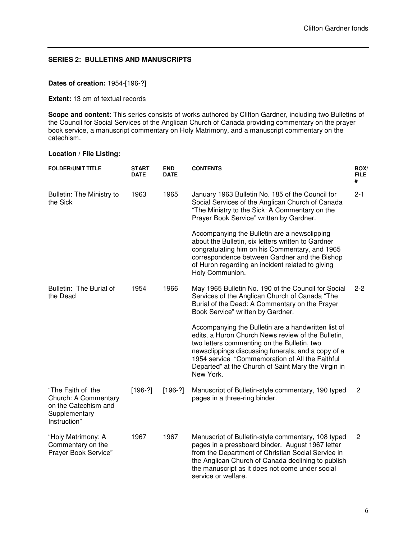# **SERIES 2: BULLETINS AND MANUSCRIPTS**

# **Dates of creation:** 1954-[196-?]

**Extent:** 13 cm of textual records

**Scope and content:** This series consists of works authored by Clifton Gardner, including two Bulletins of the Council for Social Services of the Anglican Church of Canada providing commentary on the prayer book service, a manuscript commentary on Holy Matrimony, and a manuscript commentary on the catechism.

# **Location / File Listing:**

| <b>FOLDER/UNIT TITLE</b>                                                                           | START<br><b>DATE</b> | <b>END</b><br><b>DATE</b> | <b>CONTENTS</b>                                                                                                                                                                                                                                                                                                                       | BOX/<br><b>FILE</b><br># |
|----------------------------------------------------------------------------------------------------|----------------------|---------------------------|---------------------------------------------------------------------------------------------------------------------------------------------------------------------------------------------------------------------------------------------------------------------------------------------------------------------------------------|--------------------------|
| <b>Bulletin: The Ministry to</b><br>the Sick                                                       | 1963                 | 1965                      | January 1963 Bulletin No. 185 of the Council for<br>Social Services of the Anglican Church of Canada<br>"The Ministry to the Sick: A Commentary on the<br>Prayer Book Service" written by Gardner.                                                                                                                                    | $2 - 1$                  |
|                                                                                                    |                      |                           | Accompanying the Bulletin are a newsclipping<br>about the Bulletin, six letters written to Gardner<br>congratulating him on his Commentary, and 1965<br>correspondence between Gardner and the Bishop<br>of Huron regarding an incident related to giving<br>Holy Communion.                                                          |                          |
| Bulletin: The Burial of<br>the Dead                                                                | 1954                 | 1966                      | May 1965 Bulletin No. 190 of the Council for Social<br>Services of the Anglican Church of Canada "The<br>Burial of the Dead: A Commentary on the Prayer<br>Book Service" written by Gardner.                                                                                                                                          | $2 - 2$                  |
|                                                                                                    |                      |                           | Accompanying the Bulletin are a handwritten list of<br>edits, a Huron Church News review of the Bulletin,<br>two letters commenting on the Bulletin, two<br>newsclippings discussing funerals, and a copy of a<br>1954 service "Commemoration of All the Faithful<br>Departed" at the Church of Saint Mary the Virgin in<br>New York. |                          |
| "The Faith of the<br>Church: A Commentary<br>on the Catechism and<br>Supplementary<br>Instruction" | $[196-?]$            | $[196-?]$                 | Manuscript of Bulletin-style commentary, 190 typed<br>pages in a three-ring binder.                                                                                                                                                                                                                                                   | $\overline{c}$           |
| "Holy Matrimony: A<br>Commentary on the<br>Prayer Book Service"                                    | 1967                 | 1967                      | Manuscript of Bulletin-style commentary, 108 typed<br>pages in a pressboard binder. August 1967 letter<br>from the Department of Christian Social Service in<br>the Anglican Church of Canada declining to publish<br>the manuscript as it does not come under social<br>service or welfare.                                          | $\overline{2}$           |